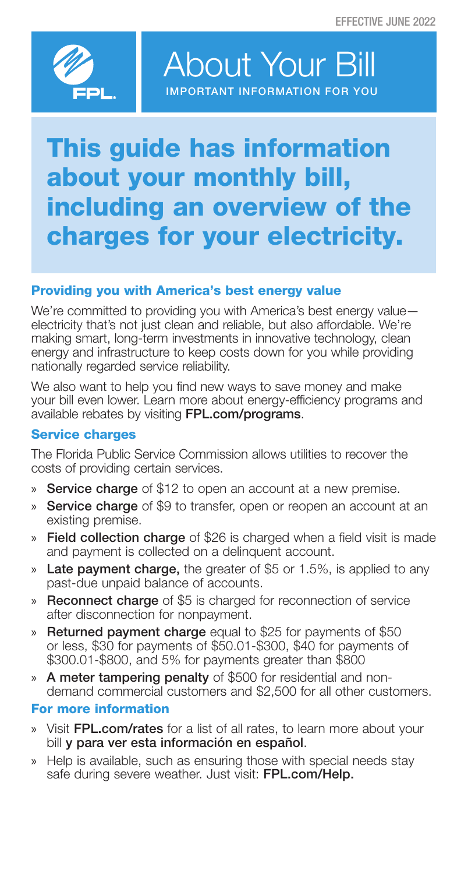

About Your Bill IMPORTANT INFORMATION FOR YOU

# This guide has information about your monthly bill, including an overview of the charges for your electricity.

# Providing you with America's best energy value

We're committed to providing you with America's best energy value electricity that's not just clean and reliable, but also affordable. We're making smart, long-term investments in innovative technology, clean energy and infrastructure to keep costs down for you while providing nationally regarded service reliability.

We also want to help you find new ways to save money and make your bill even lower. Learn more about energy-efficiency programs and available rebates by visiting FPL.com/programs.

### Service charges

The Florida Public Service Commission allows utilities to recover the costs of providing certain services.

- » Service charge of \$12 to open an account at a new premise.
- » Service charge of \$9 to transfer, open or reopen an account at an existing premise.
- » Field collection charge of \$26 is charged when a field visit is made and payment is collected on a delinquent account.
- » Late payment charge, the greater of \$5 or 1.5%, is applied to any past-due unpaid balance of accounts.
- » Reconnect charge of \$5 is charged for reconnection of service after disconnection for nonpayment.
- » Returned payment charge equal to \$25 for payments of \$50 or less, \$30 for payments of \$50.01-\$300, \$40 for payments of \$300.01-\$800, and 5% for payments greater than \$800
- » A meter tampering penalty of \$500 for residential and nondemand commercial customers and \$2,500 for all other customers.

# For more information

- » Visit FPL.com/rates for a list of all rates, to learn more about your bill y para ver esta información en español.
- » Help is available, such as ensuring those with special needs stay safe during severe weather. Just visit: FPL.com/Help.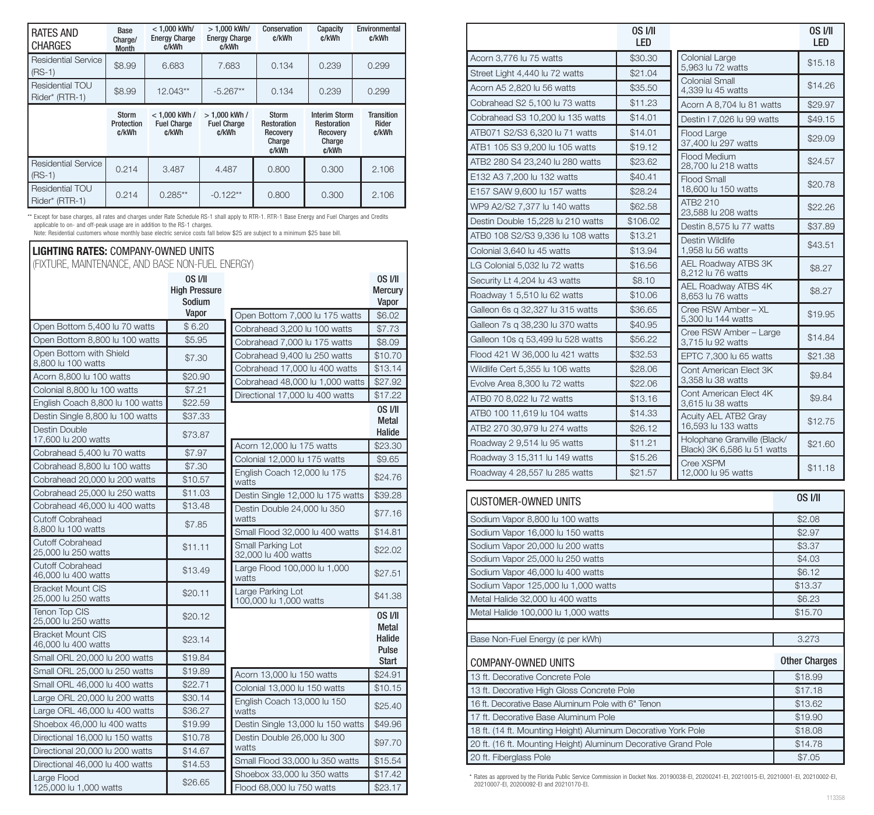| <b>RATES AND</b><br><b>CHARGES</b>     | Base<br>Charge/<br>Month            | $< 1.000$ kWh/<br><b>Energy Charge</b><br>c/kWh | > 1.000 kWh/<br><b>Energy Charge</b><br>c/kWh | Conservation<br>c/kWh                                      | Capacity<br>c/kWh                                                         | Environmental<br>c/kWh              |
|----------------------------------------|-------------------------------------|-------------------------------------------------|-----------------------------------------------|------------------------------------------------------------|---------------------------------------------------------------------------|-------------------------------------|
| <b>Residential Service</b><br>$(RS-1)$ | \$8.99                              | 6.683                                           | 7.683                                         | 0.134                                                      | 0.239                                                                     | 0.299                               |
| Residential TOU<br>Rider* (RTR-1)      | \$8.99                              | 12.043**                                        | $-5.267**$                                    | 0.134                                                      | 0.239                                                                     | 0.299                               |
|                                        | <b>Storm</b><br>Protection<br>c/kWh | $< 1.000$ kWh /<br><b>Fuel Charge</b><br>c/kWh  | $>1.000$ kWh /<br><b>Fuel Charge</b><br>c/kWh | Storm<br><b>Restoration</b><br>Recovery<br>Charge<br>c/kWh | <b>Interim Storm</b><br><b>Restoration</b><br>Recovery<br>Charge<br>c/kWh | <b>Transition</b><br>Rider<br>c/kWh |
| <b>Residential Service</b><br>$(RS-1)$ | 0.214                               | 3.487                                           | 4.487                                         | 0.800                                                      | 0.300                                                                     | 2.106                               |
| Residential TOU<br>Rider* (RTR-1)      | 0.214                               | $0.285**$                                       | $-0.122**$                                    | 0.800                                                      | 0.300                                                                     | 2.106                               |

\*\* Except for base charges, all rates and charges under Rate Schedule RS-1 shall apply to RTR-1. RTR-1 Base Energy and Fuel Charges and Credits applicable to on- and off-peak usage are in addition to the RS-1 charges.

#### LIGHTING RATES: COMPANY-OWNED UNITS (FIXTURE, MAINTENANCE, AND BASE NON-FUEL ENERGY) OS I/II High Pressure Sodium Vanor Open Bottom 5,400 lu 70 watts \$ 6.20 Open Bottom 8,800 lu 100 watts \ \ \$5.95 Open Bottom with Shield Open Bottom with Shield<br>8,800 lu 100 watts  $\begin{bmatrix} 8.800 \end{bmatrix}$  \$7.30 Acorn 8,800 lu 100 watts **1 \$20.90** Colonial 8,800 lu 100 watts **\$7.21** English Coach 8,800 lu 100 watts  $\frac{1}{1}$  \$22.59 Destin Single 8,800 lu 100 watts \$37,33 Destin Double Destin Double<br>17,600 lu 200 watts  $$73.87$ Cobrahead 5,400 lu 70 watts  $\frac{1}{37.97}$ Cobrahead 8,800 lu 100 watts \$7,30 Cobrahead 20,000 lu 200 watts \$10.57 Cobrahead 25,000 lu 250 watts \$11,03 Cobrahead 46,000 lu 400 watts \$13,48 Cutoff Cobrahead Cutoff Cobranead<br>8,800 lu 100 watts  $\begin{array}{|c|c|} \hline \text{$37.85} \end{array}$ Cutoff Cobrahead  $25,000$  lu 250 watts  $\begin{array}{|l|}\n\hline\n\end{array}$  \$11.11 Cutoff Cobrahead Gutoli Gobraneau<br>46,000 lu 400 watts  $\begin{array}{|l|}\n\hline\n\end{array}$ \$13.49 Bracket Mount CIS Exacket Mount CIS<br>25,000 lu 250 watts  $\begin{array}{|l|}\n\hline\n\text{20.11}\n\end{array}$ Tenon Top CIS  $\left| \begin{array}{c} \text{P}\end{array} \right|$   $\left| \begin{array}{c} \text{P}\end{array} \right|$   $\left| \begin{array}{c} \text{P}\end{array} \right|$   $\left| \begin{array}{c} \text{P}\end{array} \right|$   $\left| \begin{array}{c} \text{P}\end{array} \right|$   $\left| \begin{array}{c} \text{P}\end{array} \right|$   $\left| \begin{array}{c} \text{P}\end{array} \right|$ Bracket Mount CIS Bracket Mount CIS<br>46,000 lu 400 watts \$23.14 Small ORL 20,000 lu 200 watts \$19.84 Small ORL 25,000 lu 250 watts \$19.89 Small ORL 46,000 lu 400 watts \$22.71 Large ORL 20,000 lu 200 watts \$30.14 Large ORL 46,000 lu 400 watts \$36,27 Shoebox 46,000 lu 400 watts **1** \$19.99 Directional 16,000 lu 150 watts **S**10.78 Directional 20,000 lu 200 watts \$14.67 Directional 46,000 lu 400 watts \$14,53 Large Flood 125,000 lu 1,000 watts \$26.65 OS I/II Metal Halide Acorn 12,000 lu 175 watts \$23.30 Colonial 12,000 lu 175 watts **\$9.65** English Coach 12,000 lu 175 <br>watts **\$24.76** Destin Single 12,000 lu 175 watts \$39.28 Destin Double 24,000 lu 350<br>watts **\$**77.16 Small Flood 32,000 lu 400 watts \, \$14.81 Small Parking Lot Small Parking Lot<br>32,000 lu 400 watts \$22.02 Large Flood 100,000 lu 1,000<br>watts **\$27.51** Large Parking Lot Large Parking Lot<br>100,000 lu 1,000 watts  $\begin{array}{|l|}\n\hline\n\end{array}$ \$41.38 OS I/II Metal Halide Pulse **Start** Acorn 13,000 lu 150 watts \$24.91 Colonial 13,000 lu 150 watts \$10.15 English Coach 13,000 lu 150 <br>watts **\$25.40** Destin Single 13,000 lu 150 watts | \$49.96 Destin Double 26,000 lu 300<br>watts Small Flood 33,000 lu 350 watts \$15.54 Shoebox 33,000 lu 350 watts \$17.42 Flood 68,000 lu 750 watts **\$23.17** OS I/II **Mercury** Vapor Open Bottom 7,000 lu 175 watts \\$6.02 Cobrahead 3,200 lu 100 watts \$7.73 Cobrahead 7,000 lu 175 watts \$8.09 Cobrahead 9,400 lu 250 watts \\$10.70 Cobrahead 17,000 lu 400 watts \$13.14 Cobrahead 48,000 lu 1,000 watts | \$27.92 Directional 17,000 lu 400 watts \ \ \\$17.22 Note: Residential customers whose monthly base electric service costs fall below \$25 are subject to a minimum \$25 base bill.

|                                                                                                                                 | OS I/II<br>LED |                                                                                                                                                                     |  | <b>OS I/II</b><br>LED |
|---------------------------------------------------------------------------------------------------------------------------------|----------------|---------------------------------------------------------------------------------------------------------------------------------------------------------------------|--|-----------------------|
| Acorn 3,776 lu 75 watts                                                                                                         | \$30.30        | Colonial Large                                                                                                                                                      |  | \$15.18               |
| Street Light 4,440 lu 72 watts                                                                                                  | \$21.04        | 5,963 lu 72 watts<br><b>Colonial Small</b>                                                                                                                          |  |                       |
| Acorn A5 2,820 lu 56 watts                                                                                                      | \$35.50        | 4,339 lu 45 watts                                                                                                                                                   |  | \$14.26               |
| Cobrahead S2 5,100 lu 73 watts                                                                                                  | \$11.23        | Acorn A 8,704 lu 81 watts                                                                                                                                           |  | \$29.97               |
| Cobrahead S3 10,200 lu 135 watts                                                                                                | \$14.01        | Destin I 7.026 lu 99 watts                                                                                                                                          |  | \$49.15               |
| ATB071 S2/S3 6,320 lu 71 watts                                                                                                  | \$14.01        | Flood Large                                                                                                                                                         |  | \$29.09               |
| ATB1 105 S3 9.200 lu 105 watts                                                                                                  | \$19.12        | 37,400 lu 297 watts<br>Flood Medium                                                                                                                                 |  |                       |
| ATB2 280 S4 23,240 lu 280 watts                                                                                                 | \$23.62        | 28,700 lu 218 watts                                                                                                                                                 |  | \$24.57               |
| E132 A3 7,200 lu 132 watts                                                                                                      | \$40.41        | Flood Small                                                                                                                                                         |  | \$20.78               |
| E157 SAW 9,600 lu 157 watts                                                                                                     | \$28.24        | 18,600 lu 150 watts                                                                                                                                                 |  |                       |
| WP9 A2/S2 7,377 lu 140 watts                                                                                                    | \$62.58        | ATB2 210<br>23,588 lu 208 watts                                                                                                                                     |  | \$22.26               |
| Destin Double 15,228 lu 210 watts                                                                                               | \$106.02       | Destin 8,575 lu 77 watts<br>Destin Wildlife<br>1,958 lu 56 watts                                                                                                    |  | \$37.89               |
| ATB0 108 S2/S3 9,336 lu 108 watts                                                                                               | \$13.21        |                                                                                                                                                                     |  | \$43.51               |
| Colonial 3,640 lu 45 watts                                                                                                      | \$13.94        |                                                                                                                                                                     |  |                       |
| LG Colonial 5,032 lu 72 watts                                                                                                   | \$16.56        | <b>AEL Roadway ATBS 3K</b><br>8,212 lu 76 watts                                                                                                                     |  | \$8.27                |
| Security Lt 4,204 lu 43 watts                                                                                                   | \$8.10         | AEL Roadway ATBS 4K                                                                                                                                                 |  |                       |
| Roadway 1 5,510 lu 62 watts                                                                                                     | \$10.06        | 8,653 lu 76 watts                                                                                                                                                   |  | \$8.27                |
| Galleon 6s g 32,327 lu 315 watts                                                                                                | \$36.65        | Cree RSW Amber - XL                                                                                                                                                 |  | \$19.95               |
| Galleon 7s q 38,230 lu 370 watts                                                                                                | \$40.95        | 5,300 lu 144 watts<br>Cree RSW Amber - Large                                                                                                                        |  |                       |
| Galleon 10s q 53,499 lu 528 watts                                                                                               | \$56.22        | 3,715 lu 92 watts                                                                                                                                                   |  | \$14.84               |
| Flood 421 W 36,000 lu 421 watts                                                                                                 | \$32.53        | EPTC 7,300 lu 65 watts<br>Cont American Elect 3K<br>3,358 lu 38 watts<br>Cont American Elect 4K<br>3,615 lu 38 watts<br>Acuity AEL ATB2 Gray<br>16,593 lu 133 watts |  | \$21.38               |
| Wildlife Cert 5,355 lu 106 watts                                                                                                | \$28.06        |                                                                                                                                                                     |  | \$9.84                |
| Evolve Area 8,300 lu 72 watts                                                                                                   | \$22.06        |                                                                                                                                                                     |  |                       |
| ATB0 70 8,022 lu 72 watts                                                                                                       | \$13.16        |                                                                                                                                                                     |  | \$9.84                |
| ATB0 100 11,619 lu 104 watts                                                                                                    | \$14.33        |                                                                                                                                                                     |  | \$12.75               |
| ATB2 270 30,979 lu 274 watts                                                                                                    | \$26.12        |                                                                                                                                                                     |  |                       |
| Roadway 2 9,514 lu 95 watts                                                                                                     | \$11.21        | Holophane Granville (Black/<br>Black) 3K 6,586 lu 51 watts                                                                                                          |  | \$21.60               |
| Roadway 3 15,311 lu 149 watts                                                                                                   | \$15.26        | Cree XSPM                                                                                                                                                           |  | \$11.18               |
| Roadway 4 28,557 lu 285 watts                                                                                                   | \$21.57        | 12,000 lu 95 watts                                                                                                                                                  |  |                       |
|                                                                                                                                 |                |                                                                                                                                                                     |  |                       |
| <b>CUSTOMER-OWNED UNITS</b>                                                                                                     |                |                                                                                                                                                                     |  | <b>0S I/II</b>        |
| Sodium Vapor 8,800 lu 100 watts                                                                                                 |                |                                                                                                                                                                     |  | \$2.08                |
| Sodium Vapor 16,000 lu 150 watts                                                                                                |                |                                                                                                                                                                     |  | \$2.97                |
| Sodium Vapor 20,000 lu 200 watts                                                                                                |                |                                                                                                                                                                     |  | \$3.37                |
| Sodium Vapor 25,000 lu 250 watts                                                                                                |                |                                                                                                                                                                     |  | \$4.03                |
| Sodium Vapor 46,000 lu 400 watts                                                                                                |                |                                                                                                                                                                     |  | \$6.12                |
| Sodium Vapor 125,000 lu 1,000 watts                                                                                             |                |                                                                                                                                                                     |  | \$13.37               |
| Metal Halide 32,000 lu 400 watts                                                                                                |                |                                                                                                                                                                     |  | \$6.23                |
| Metal Halide 100,000 lu 1,000 watts                                                                                             |                |                                                                                                                                                                     |  | \$15.70               |
|                                                                                                                                 |                |                                                                                                                                                                     |  | 3.273                 |
| Base Non-Fuel Energy (¢ per kWh)<br>COMPANY-OWNED UNITS                                                                         |                |                                                                                                                                                                     |  | <b>Other Charges</b>  |
| 13 ft. Decorative Concrete Pole                                                                                                 |                |                                                                                                                                                                     |  | \$18.99               |
| 13 ft. Decorative High Gloss Concrete Pole                                                                                      |                |                                                                                                                                                                     |  | \$17.18               |
| 16 ft. Decorative Base Aluminum Pole with 6" Tenon                                                                              |                |                                                                                                                                                                     |  | \$13.62               |
| 17 ft. Decorative Base Aluminum Pole                                                                                            |                |                                                                                                                                                                     |  | \$19.90               |
| 18 ft. (14 ft. Mounting Height) Aluminum Decorative York Pole<br>20 ft. (16 ft. Mounting Height) Aluminum Decorative Grand Pole |                |                                                                                                                                                                     |  | \$18.08<br>\$14.78    |

\*\* Rates as approved by the Florida Public Service Commission in Docket Nos. 20190038-EI, 20200241-EI, 20210015-EI, 20210001-EI, 20210002-EI, 20210007-EI, 20200092-EI and 20210170-EI.